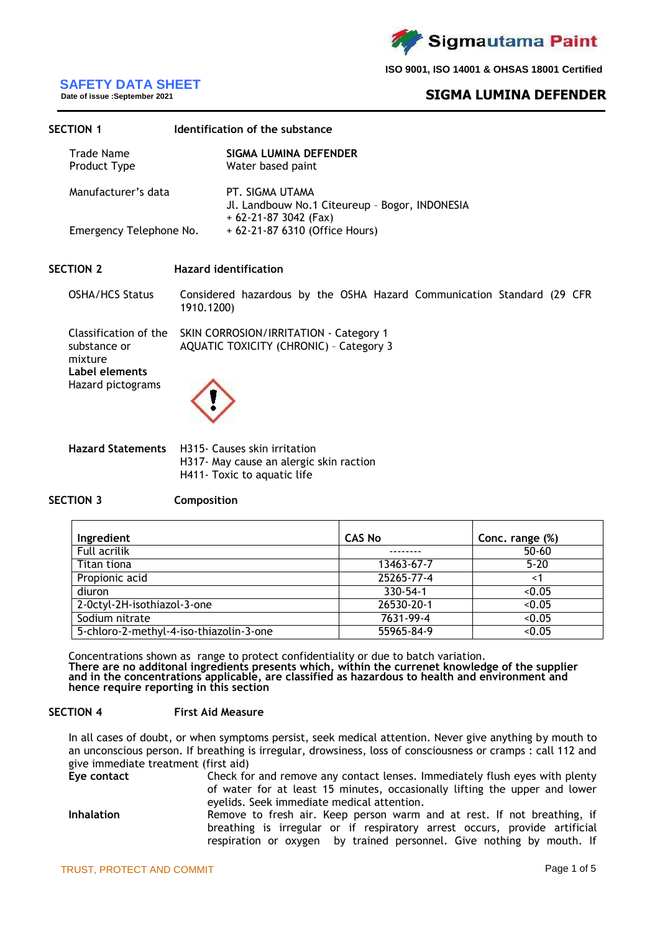

# **SAFETY DATA SHEET**

# **Date of issue :September 2021**

# **SIGMA LUMINA DEFENDER**

| <b>SECTION 1</b>           |            | Identification of the substance                                                            |  |
|----------------------------|------------|--------------------------------------------------------------------------------------------|--|
| Trade Name<br>Product Type |            | SIGMA LUMINA DEFENDER<br>Water based paint                                                 |  |
| Manufacturer's data        |            | PT. SIGMA UTAMA<br>Jl. Landbouw No.1 Citeureup - Bogor, INDONESIA<br>$+62-21-873042$ (Fax) |  |
| Emergency Telephone No.    |            | + 62-21-87 6310 (Office Hours)                                                             |  |
| <b>SECTION 2</b>           |            | <b>Hazard identification</b>                                                               |  |
| <b>OSHA/HCS Status</b>     | 1910.1200) | Considered hazardous by the OSHA Hazard Communication Standard (29 CFR                     |  |
|                            |            | Classification of the SKIN CORROSION/IRRITATION - Category 1                               |  |

substance or mixture AQUATIC TOXICITY (CHRONIC) – Category 3 **Label elements** Hazard pictograms

**Hazard Statements** H315- Causes skin irritation H317- May cause an alergic skin raction H411- Toxic to aquatic life

#### **SECTION 3 Composition**

| Ingredient                              | <b>CAS No</b>    | Conc. range (%) |
|-----------------------------------------|------------------|-----------------|
| Full acrilik                            |                  | $50 - 60$       |
| Titan tiona                             | 13463-67-7       | $5 - 20$        |
| Propionic acid                          | 25265-77-4       | <1              |
| diuron                                  | 330-54-1         | < 0.05          |
| 2-Octyl-2H-isothiazol-3-one             | $26530 - 20 - 1$ | < 0.05          |
| Sodium nitrate                          | 7631-99-4        | < 0.05          |
| 5-chloro-2-methyl-4-iso-thiazolin-3-one | 55965-84-9       | < 0.05          |

Concentrations shown as range to protect confidentiality or due to batch variation. **There are no additonal ingredients presents which, within the currenet knowledge of the supplier and in the concentrations applicable, are classified as hazardous to health and environment and hence require reporting in this section**

#### **SECTION 4 First Aid Measure**

In all cases of doubt, or when symptoms persist, seek medical attention. Never give anything by mouth to an unconscious person. If breathing is irregular, drowsiness, loss of consciousness or cramps : call 112 and give immediate treatment (first aid)

**Eye contact** Check for and remove any contact lenses. Immediately flush eyes with plenty of water for at least 15 minutes, occasionally lifting the upper and lower eyelids. Seek immediate medical attention. Inhalation **Remove to fresh air. Keep person warm and at rest. If not breathing, if** breathing is irregular or if respiratory arrest occurs, provide artificial respiration or oxygen by trained personnel. Give nothing by mouth. If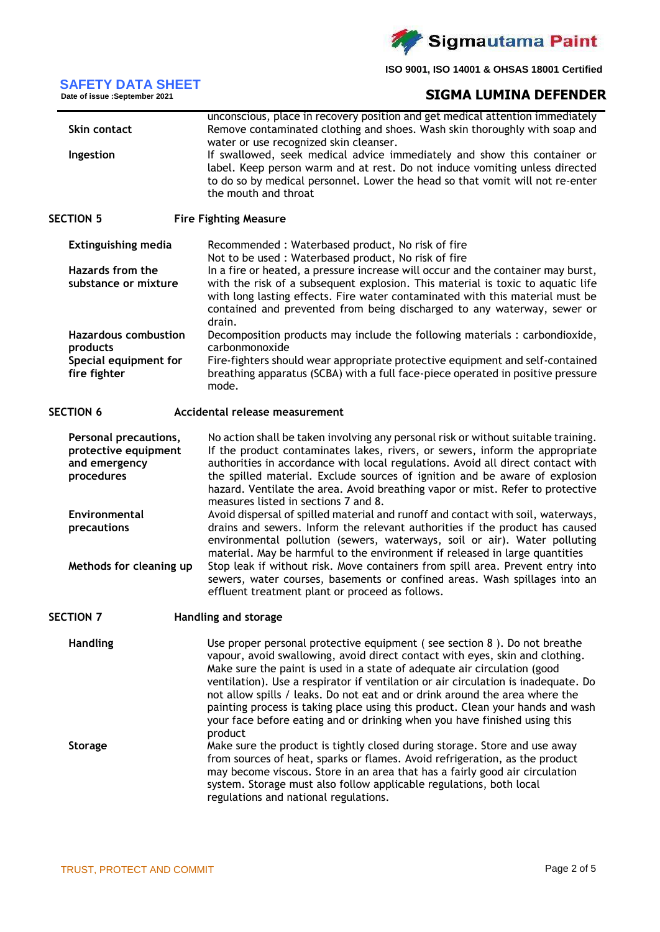

# **SAFETY DATA SHEET**

|  | DAFETT DATA ƏNEE              |  |  |
|--|-------------------------------|--|--|
|  | Date of issue :September 2021 |  |  |

# **SIGMA LUMINA DEFENDER**

|                             | unconscious, place in recovery position and get medical attention immediately                                                                                |
|-----------------------------|--------------------------------------------------------------------------------------------------------------------------------------------------------------|
| Skin contact                | Remove contaminated clothing and shoes. Wash skin thoroughly with soap and                                                                                   |
|                             | water or use recognized skin cleanser.                                                                                                                       |
| Ingestion                   | If swallowed, seek medical advice immediately and show this container or                                                                                     |
|                             | label. Keep person warm and at rest. Do not induce vomiting unless directed<br>to do so by medical personnel. Lower the head so that vomit will not re-enter |
|                             | the mouth and throat                                                                                                                                         |
|                             |                                                                                                                                                              |
| <b>SECTION 5</b>            | <b>Fire Fighting Measure</b>                                                                                                                                 |
| <b>Extinguishing media</b>  | Recommended: Waterbased product, No risk of fire                                                                                                             |
|                             | Not to be used: Waterbased product, No risk of fire                                                                                                          |
| <b>Hazards from the</b>     | In a fire or heated, a pressure increase will occur and the container may burst,                                                                             |
| substance or mixture        | with the risk of a subsequent explosion. This material is toxic to aquatic life                                                                              |
|                             | with long lasting effects. Fire water contaminated with this material must be                                                                                |
|                             | contained and prevented from being discharged to any waterway, sewer or                                                                                      |
| <b>Hazardous combustion</b> | drain.<br>Decomposition products may include the following materials : carbondioxide,                                                                        |
| products                    | carbonmonoxide                                                                                                                                               |
| Special equipment for       | Fire-fighters should wear appropriate protective equipment and self-contained                                                                                |
| fire fighter                | breathing apparatus (SCBA) with a full face-piece operated in positive pressure                                                                              |
|                             | mode.                                                                                                                                                        |
| <b>SECTION 6</b>            | <b>Accidental release measurement</b>                                                                                                                        |
|                             |                                                                                                                                                              |
| Personal precautions,       | No action shall be taken involving any personal risk or without suitable training.                                                                           |
| protective equipment        | If the product contaminates lakes, rivers, or sewers, inform the appropriate                                                                                 |
| and emergency               | authorities in accordance with local regulations. Avoid all direct contact with                                                                              |
| procedures                  | the spilled material. Exclude sources of ignition and be aware of explosion                                                                                  |
|                             | hazard. Ventilate the area. Avoid breathing vapor or mist. Refer to protective<br>measures listed in sections 7 and 8.                                       |
| Environmental               | Avoid dispersal of spilled material and runoff and contact with soil, waterways,                                                                             |
| precautions                 | drains and sewers. Inform the relevant authorities if the product has caused                                                                                 |
|                             | environmental pollution (sewers, waterways, soil or air). Water polluting                                                                                    |
|                             | material. May be harmful to the environment if released in large quantities                                                                                  |
| Methods for cleaning up     | Stop leak if without risk. Move containers from spill area. Prevent entry into                                                                               |
|                             | sewers, water courses, basements or confined areas. Wash spillages into an                                                                                   |
|                             | effluent treatment plant or proceed as follows.                                                                                                              |
| <b>SECTION 7</b>            | Handling and storage                                                                                                                                         |
|                             |                                                                                                                                                              |
| <b>Handling</b>             | Use proper personal protective equipment (see section 8). Do not breathe<br>vapour, avoid swallowing, avoid direct contact with eyes, skin and clothing.     |
|                             | Make sure the paint is used in a state of adequate air circulation (good                                                                                     |
|                             | ventilation). Use a respirator if ventilation or air circulation is inadequate. Do                                                                           |
|                             | not allow spills / leaks. Do not eat and or drink around the area where the                                                                                  |
|                             | painting process is taking place using this product. Clean your hands and wash                                                                               |
|                             | your face before eating and or drinking when you have finished using this                                                                                    |
|                             | product                                                                                                                                                      |
| <b>Storage</b>              | Make sure the product is tightly closed during storage. Store and use away                                                                                   |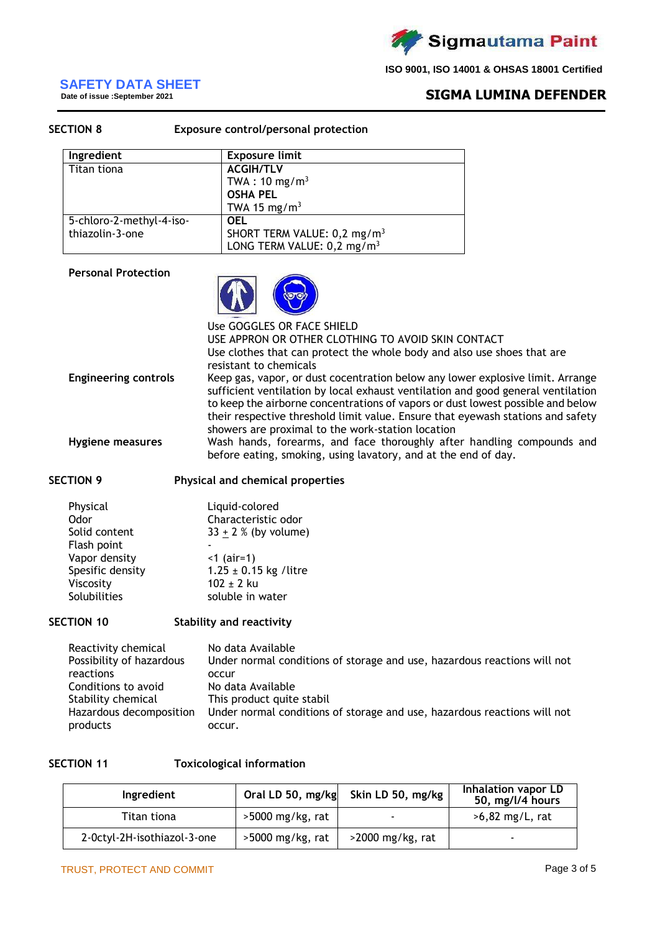

# **SAFETY DATA SHEET**

**Date of issue :September 2021**

# **SIGMA LUMINA DEFENDER**

| <b>SECTION 8</b> |                          | <b>Exposure control/personal protection</b> |  |
|------------------|--------------------------|---------------------------------------------|--|
|                  | Ingredient               | <b>Exposure limit</b>                       |  |
|                  | Titan tiona              | <b>ACGIH/TLV</b>                            |  |
|                  |                          | TWA: $10 \text{ mg/m}^3$                    |  |
|                  |                          | <b>OSHA PEL</b>                             |  |
|                  |                          | TWA 15 mg/ $m3$                             |  |
|                  | 5-chloro-2-methyl-4-iso- | <b>OEL</b>                                  |  |
|                  | thiazolin-3-one          | SHORT TERM VALUE: 0,2 mg/m <sup>3</sup>     |  |
|                  |                          | LONG TERM VALUE: 0,2 mg/m <sup>3</sup>      |  |

#### **Personal Protection**



|                             | Use GOGGLES OR FACE SHIELD                                                                                                                                                                                                                                                                                                                                                                    |
|-----------------------------|-----------------------------------------------------------------------------------------------------------------------------------------------------------------------------------------------------------------------------------------------------------------------------------------------------------------------------------------------------------------------------------------------|
|                             | USE APPRON OR OTHER CLOTHING TO AVOID SKIN CONTACT                                                                                                                                                                                                                                                                                                                                            |
|                             | Use clothes that can protect the whole body and also use shoes that are<br>resistant to chemicals                                                                                                                                                                                                                                                                                             |
| <b>Engineering controls</b> | Keep gas, vapor, or dust cocentration below any lower explosive limit. Arrange<br>sufficient ventilation by local exhaust ventilation and good general ventilation<br>to keep the airborne concentrations of vapors or dust lowest possible and below<br>their respective threshold limit value. Ensure that eyewash stations and safety<br>showers are proximal to the work-station location |
| <b>Hygiene measures</b>     | Wash hands, forearms, and face thoroughly after handling compounds and<br>before eating, smoking, using lavatory, and at the end of day.                                                                                                                                                                                                                                                      |

### **SECTION 9 Physical and chemical properties**

| Physical         | Liquid-colored             |
|------------------|----------------------------|
| Odor             | Characteristic odor        |
| Solid content    | $33 + 2 %$ (by volume)     |
| Flash point      |                            |
| Vapor density    | $<$ 1 (air=1)              |
| Spesific density | $1.25 \pm 0.15$ kg / litre |
| Viscosity        | $102 \pm 2$ ku             |
| Solubilities     | soluble in water           |

# **SECTION 10 Stability and reactivity**

| Reactivity chemical      | No data Available                                                        |
|--------------------------|--------------------------------------------------------------------------|
| Possibility of hazardous | Under normal conditions of storage and use, hazardous reactions will not |
| reactions                | occur                                                                    |
| Conditions to avoid      | No data Available                                                        |
| Stability chemical       | This product quite stabil                                                |
| Hazardous decomposition  | Under normal conditions of storage and use, hazardous reactions will not |
| products                 | occur.                                                                   |

# **SECTION 11 Toxicological information**

| Ingredient                  |                    | Oral LD 50, mg/kg Skin LD 50, mg/kg | Inhalation vapor LD<br>50, mg/l/4 hours |
|-----------------------------|--------------------|-------------------------------------|-----------------------------------------|
| Titan tiona                 | $>5000$ mg/kg, rat | $\overline{\phantom{0}}$            | $>6,82$ mg/L, rat                       |
| 2-Octyl-2H-isothiazol-3-one | $>5000$ mg/kg, rat | $>$ 2000 mg/kg, rat                 | ۰                                       |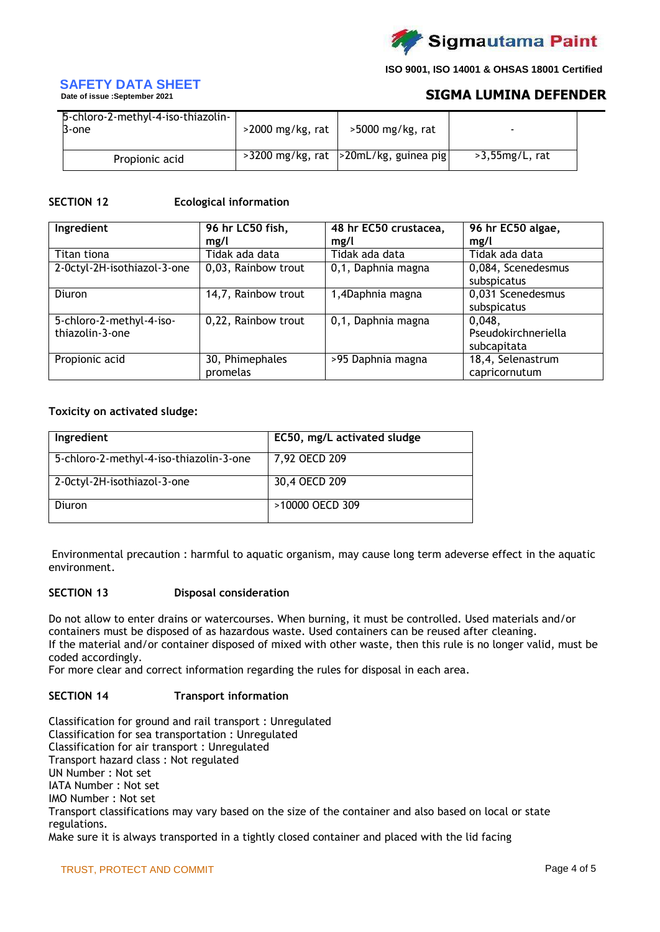

# **SAFETY DATA SHEET**

**Date of issue :September 2021**

# **SIGMA LUMINA DEFENDER**

| 5-chloro-2-methyl-4-iso-thiazolin-<br>B-one | $>$ 2000 mg/kg, rat | $>5000$ mg/kg, rat                          |                   |
|---------------------------------------------|---------------------|---------------------------------------------|-------------------|
| Propionic acid                              |                     | $>3200$ mg/kg, rat $ >20$ mL/kg, guinea pig | $>3,55mg/L$ , rat |

## **SECTION 12 Ecological information**

| Ingredient                  | 96 hr LC50 fish,    | 48 hr EC50 crustacea, | 96 hr EC50 algae,   |
|-----------------------------|---------------------|-----------------------|---------------------|
|                             | mg/l                | mg/l                  | mg/l                |
| Titan tiona                 | Tidak ada data      | Tidak ada data        | Tidak ada data      |
| 2-Octyl-2H-isothiazol-3-one | 0,03, Rainbow trout | 0,1, Daphnia magna    | 0,084, Scenedesmus  |
|                             |                     |                       | subspicatus         |
| Diuron                      | 14,7, Rainbow trout | 1,4Daphnia magna      | 0,031 Scenedesmus   |
|                             |                     |                       | subspicatus         |
| 5-chloro-2-methyl-4-iso-    | 0,22, Rainbow trout | 0,1, Daphnia magna    | 0,048,              |
| thiazolin-3-one             |                     |                       | Pseudokirchneriella |
|                             |                     |                       | subcapitata         |
| Propionic acid              | 30, Phimephales     | >95 Daphnia magna     | 18,4, Selenastrum   |
|                             | promelas            |                       | capricornutum       |

## **Toxicity on activated sludge:**

| Ingredient                              | EC50, mg/L activated sludge |
|-----------------------------------------|-----------------------------|
| 5-chloro-2-methyl-4-iso-thiazolin-3-one | 7,92 OECD 209               |
| 2-Octyl-2H-isothiazol-3-one             | 30,4 OECD 209               |
| Diuron                                  | >10000 OECD 309             |

Environmental precaution : harmful to aquatic organism, may cause long term adeverse effect in the aquatic environment.

#### **SECTION 13 Disposal consideration**

Do not allow to enter drains or watercourses. When burning, it must be controlled. Used materials and/or containers must be disposed of as hazardous waste. Used containers can be reused after cleaning. If the material and/or container disposed of mixed with other waste, then this rule is no longer valid, must be coded accordingly.

For more clear and correct information regarding the rules for disposal in each area.

# **SECTION 14 Transport information**

Classification for ground and rail transport : Unregulated Classification for sea transportation : Unregulated Classification for air transport : Unregulated Transport hazard class : Not regulated UN Number : Not set IATA Number : Not set IMO Number : Not set Transport classifications may vary based on the size of the container and also based on local or state regulations. Make sure it is always transported in a tightly closed container and placed with the lid facing